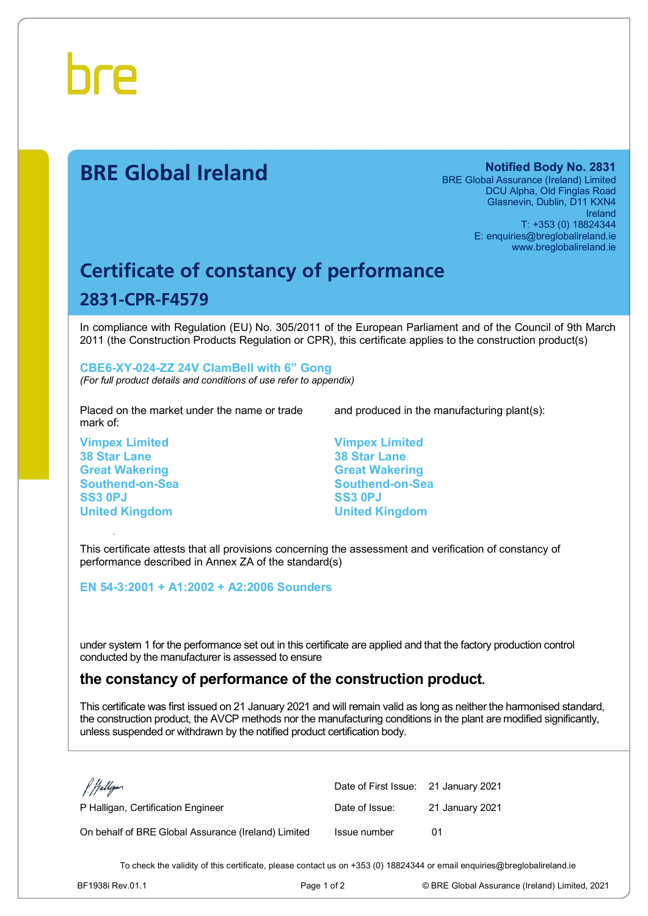

# **BRE Global Ireland Notified Body No. 2831**

BRE Global Assurance (Ireland) Limited DCU Alpha, Old Finglas Road Glasnevin, Dublin, D11 KXN4 Ireland T: +353 (0) 18824344 E: enquiries@breglobalireland.ie www.breglobalireland.ie

# **Certificate of constancy of performance 2831-CPR-F4579**

In compliance with Regulation (EU) No. 305/2011 of the European Parliament and of the Council of 9th March 2011 (the Construction Products Regulation or CPR), this certificate applies to the construction product(s)

## **CBE6-XY-024-ZZ 24V ClamBell with 6" Gong**

*(For full product details and conditions of use refer to appendix)*

Placed on the market under the name or trade mark of:

**Vimpex Limited 38 Star Lane Great Wakering Southend-on-Sea SS3 0PJ United Kingdom**

and produced in the manufacturing plant(s):

**Vimpex Limited 38 Star Lane Great Wakering Southend-on-Sea SS3 0PJ United Kingdom**

This certificate attests that all provisions concerning the assessment and verification of constancy of performance described in Annex ZA of the standard(s)

#### **EN 54-3:2001 + A1:2002 + A2:2006 Sounders**

under system 1 for the performance set out in this certificate are applied and that the factory production control conducted by the manufacturer is assessed to ensure

### **the constancy of performance of the construction product.**

This certificate was first issued on 21 January 2021 and will remain valid as long as neither the harmonised standard, the construction product, the AVCP methods nor the manufacturing conditions in the plant are modified significantly, unless suspended or withdrawn by the notified product certification body.

| f. Walligan                                         | Date of First Issue: 21 January 2021 |                 |
|-----------------------------------------------------|--------------------------------------|-----------------|
| P Halligan, Certification Engineer                  | Date of Issue:                       | 21 January 2021 |
| On behalf of BRE Global Assurance (Ireland) Limited | Issue number                         | 01              |

To check the validity of this certificate, please contact us on +353 (0) 18824344 or email enquiries@breglobalireland.ie